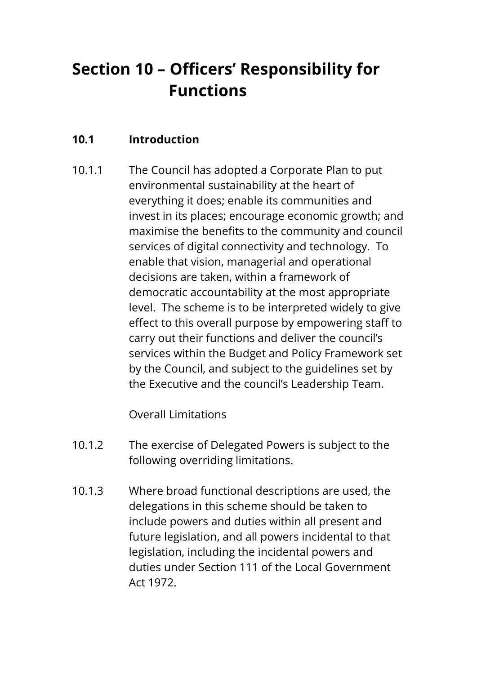# **Section 10 – Officers' Responsibility for Functions**

# **10.1 Introduction**

10.1.1 The Council has adopted a Corporate Plan to put environmental sustainability at the heart of everything it does; enable its communities and invest in its places; encourage economic growth; and maximise the benefits to the community and council services of digital connectivity and technology. To enable that vision, managerial and operational decisions are taken, within a framework of democratic accountability at the most appropriate level. The scheme is to be interpreted widely to give effect to this overall purpose by empowering staff to carry out their functions and deliver the council's services within the Budget and Policy Framework set by the Council, and subject to the guidelines set by the Executive and the council's Leadership Team.

Overall Limitations

- 10.1.2 The exercise of Delegated Powers is subject to the following overriding limitations.
- 10.1.3 Where broad functional descriptions are used, the delegations in this scheme should be taken to include powers and duties within all present and future legislation, and all powers incidental to that legislation, including the incidental powers and duties under Section 111 of the Local Government Act 1972.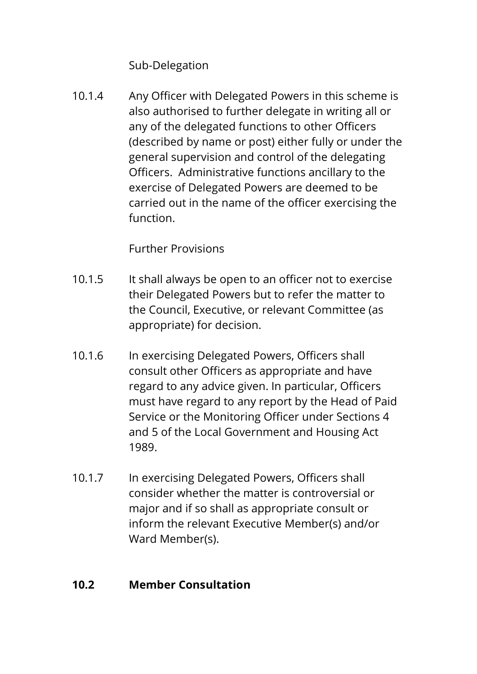Sub-Delegation

10.1.4 Any Officer with Delegated Powers in this scheme is also authorised to further delegate in writing all or any of the delegated functions to other Officers (described by name or post) either fully or under the general supervision and control of the delegating Officers. Administrative functions ancillary to the exercise of Delegated Powers are deemed to be carried out in the name of the officer exercising the function.

Further Provisions

- 10.1.5 It shall always be open to an officer not to exercise their Delegated Powers but to refer the matter to the Council, Executive, or relevant Committee (as appropriate) for decision.
- 10.1.6 In exercising Delegated Powers, Officers shall consult other Officers as appropriate and have regard to any advice given. In particular, Officers must have regard to any report by the Head of Paid Service or the Monitoring Officer under Sections 4 and 5 of the Local Government and Housing Act 1989.
- 10.1.7 In exercising Delegated Powers, Officers shall consider whether the matter is controversial or major and if so shall as appropriate consult or inform the relevant Executive Member(s) and/or Ward Member(s).

# **10.2 Member Consultation**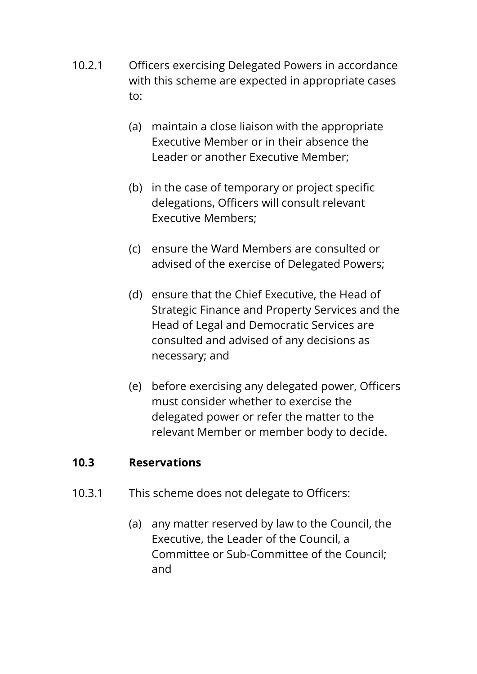- 10.2.1 Officers exercising Delegated Powers in accordance with this scheme are expected in appropriate cases to:
	- (a) maintain a close liaison with the appropriate Executive Member or in their absence the Leader or another Executive Member;
	- (b) in the case of temporary or project specific delegations, Officers will consult relevant Executive Members;
	- (c) ensure the Ward Members are consulted or advised of the exercise of Delegated Powers;
	- (d) ensure that the Chief Executive, the Head of Strategic Finance and Property Services and the Head of Legal and Democratic Services are consulted and advised of any decisions as necessary; and
	- (e) before exercising any delegated power, Officers must consider whether to exercise the delegated power or refer the matter to the relevant Member or member body to decide.

#### **10.3 Reservations**

- 10.3.1 This scheme does not delegate to Officers:
	- (a) any matter reserved by law to the Council, the Executive, the Leader of the Council, a Committee or Sub-Committee of the Council; and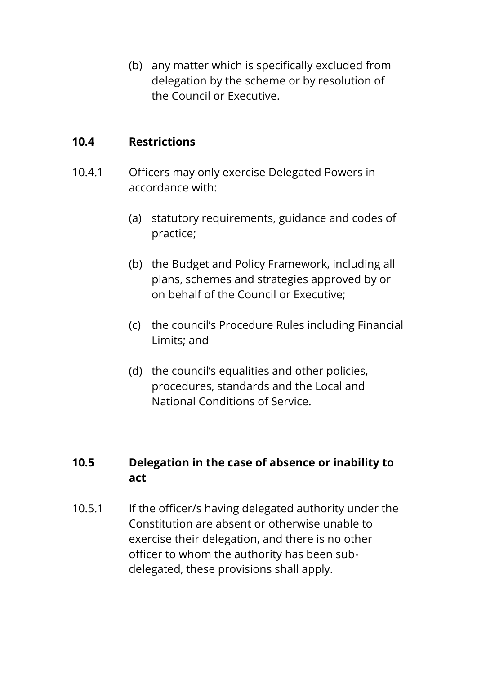(b) any matter which is specifically excluded from delegation by the scheme or by resolution of the Council or Executive.

#### **10.4 Restrictions**

- 10.4.1 Officers may only exercise Delegated Powers in accordance with:
	- (a) statutory requirements, guidance and codes of practice;
	- (b) the Budget and Policy Framework, including all plans, schemes and strategies approved by or on behalf of the Council or Executive;
	- (c) the council's Procedure Rules including Financial Limits; and
	- (d) the council's equalities and other policies, procedures, standards and the Local and National Conditions of Service.

# **10.5 Delegation in the case of absence or inability to act**

10.5.1 If the officer/s having delegated authority under the Constitution are absent or otherwise unable to exercise their delegation, and there is no other officer to whom the authority has been subdelegated, these provisions shall apply.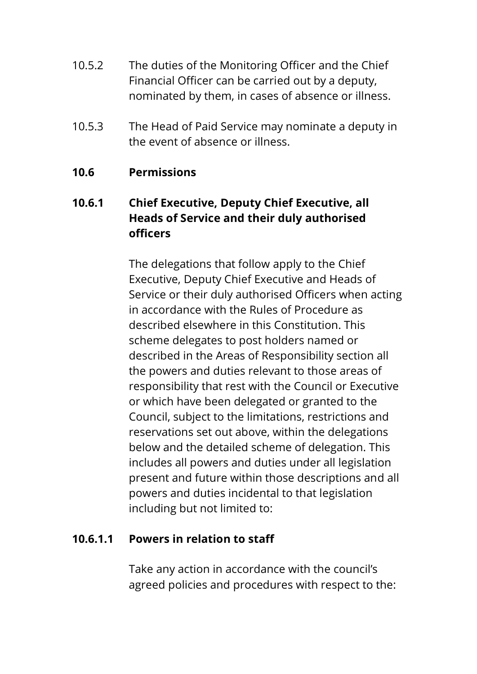- 10.5.2 The duties of the Monitoring Officer and the Chief Financial Officer can be carried out by a deputy, nominated by them, in cases of absence or illness.
- 10.5.3 The Head of Paid Service may nominate a deputy in the event of absence or illness.

#### **10.6 Permissions**

# **10.6.1 Chief Executive, Deputy Chief Executive, all Heads of Service and their duly authorised officers**

The delegations that follow apply to the Chief Executive, Deputy Chief Executive and Heads of Service or their duly authorised Officers when acting in accordance with the Rules of Procedure as described elsewhere in this Constitution. This scheme delegates to post holders named or described in the Areas of Responsibility section all the powers and duties relevant to those areas of responsibility that rest with the Council or Executive or which have been delegated or granted to the Council, subject to the limitations, restrictions and reservations set out above, within the delegations below and the detailed scheme of delegation. This includes all powers and duties under all legislation present and future within those descriptions and all powers and duties incidental to that legislation including but not limited to:

#### **10.6.1.1 Powers in relation to staff**

Take any action in accordance with the council's agreed policies and procedures with respect to the: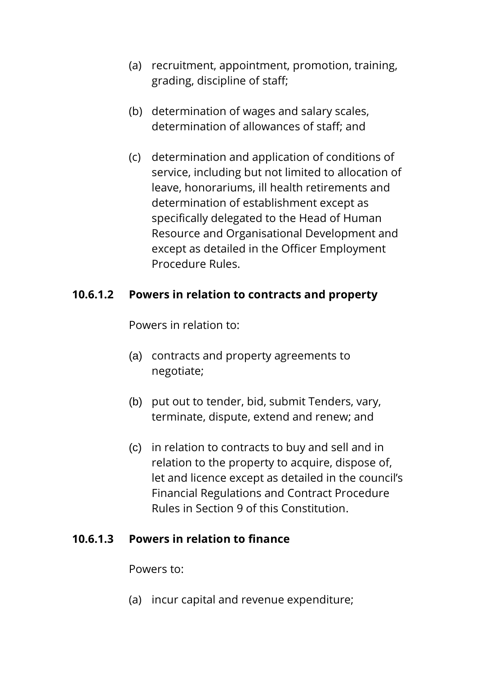- (a) recruitment, appointment, promotion, training, grading, discipline of staff;
- (b) determination of wages and salary scales, determination of allowances of staff; and
- (c) determination and application of conditions of service, including but not limited to allocation of leave, honorariums, ill health retirements and determination of establishment except as specifically delegated to the Head of Human Resource and Organisational Development and except as detailed in the Officer Employment Procedure Rules.

#### **10.6.1.2 Powers in relation to contracts and property**

Powers in relation to:

- (a) contracts and property agreements to negotiate;
- (b) put out to tender, bid, submit Tenders, vary, terminate, dispute, extend and renew; and
- (c) in relation to contracts to buy and sell and in relation to the property to acquire, dispose of, let and licence except as detailed in the council's Financial Regulations and Contract Procedure Rules in Section 9 of this Constitution.

#### **10.6.1.3 Powers in relation to finance**

Powers to:

(a) incur capital and revenue expenditure;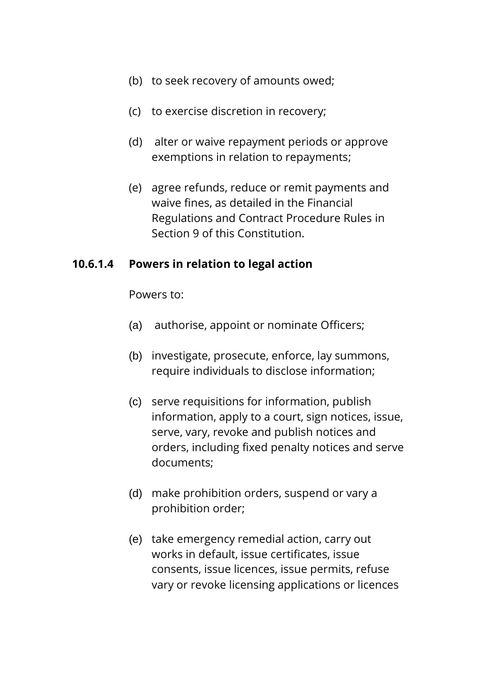- (b) to seek recovery of amounts owed;
- (c) to exercise discretion in recovery;
- (d) alter or waive repayment periods or approve exemptions in relation to repayments;
- (e) agree refunds, reduce or remit payments and waive fines, as detailed in the Financial Regulations and Contract Procedure Rules in Section 9 of this Constitution.

#### **10.6.1.4 Powers in relation to legal action**

Powers to:

- (a) authorise, appoint or nominate Officers;
- (b) investigate, prosecute, enforce, lay summons, require individuals to disclose information;
- (c) serve requisitions for information, publish information, apply to a court, sign notices, issue, serve, vary, revoke and publish notices and orders, including fixed penalty notices and serve documents;
- (d) make prohibition orders, suspend or vary a prohibition order;
- (e) take emergency remedial action, carry out works in default, issue certificates, issue consents, issue licences, issue permits, refuse vary or revoke licensing applications or licences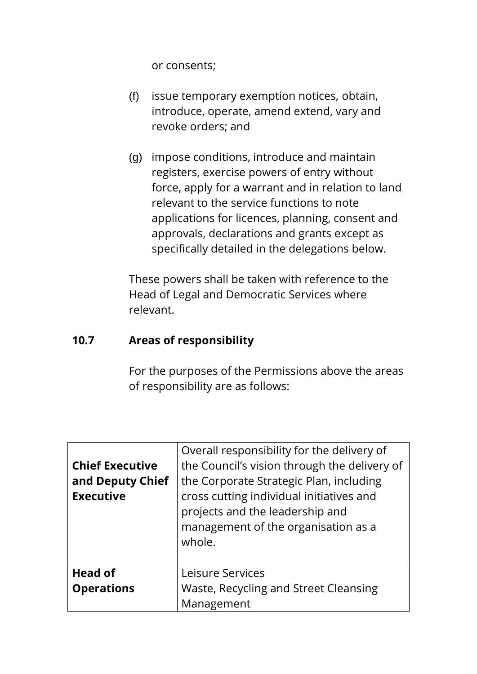or consents;

- (f) issue temporary exemption notices, obtain, introduce, operate, amend extend, vary and revoke orders; and
- (g) impose conditions, introduce and maintain registers, exercise powers of entry without force, apply for a warrant and in relation to land relevant to the service functions to note applications for licences, planning, consent and approvals, declarations and grants except as specifically detailed in the delegations below.

These powers shall be taken with reference to the Head of Legal and Democratic Services where relevant.

## **10.7 Areas of responsibility**

For the purposes of the Permissions above the areas of responsibility are as follows:

| <b>Chief Executive</b><br>and Deputy Chief<br><b>Executive</b> | Overall responsibility for the delivery of<br>the Council's vision through the delivery of<br>the Corporate Strategic Plan, including<br>cross cutting individual initiatives and<br>projects and the leadership and<br>management of the organisation as a<br>whole. |
|----------------------------------------------------------------|-----------------------------------------------------------------------------------------------------------------------------------------------------------------------------------------------------------------------------------------------------------------------|
| Head of                                                        | Leisure Services                                                                                                                                                                                                                                                      |
| <b>Operations</b>                                              | Waste, Recycling and Street Cleansing                                                                                                                                                                                                                                 |
|                                                                | Management                                                                                                                                                                                                                                                            |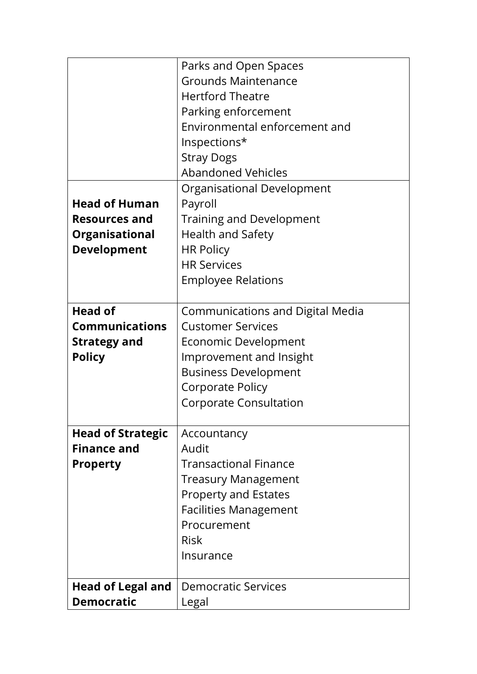|                          | Parks and Open Spaces                   |
|--------------------------|-----------------------------------------|
|                          | <b>Grounds Maintenance</b>              |
|                          | <b>Hertford Theatre</b>                 |
|                          | Parking enforcement                     |
|                          | Environmental enforcement and           |
|                          | Inspections*                            |
|                          | <b>Stray Dogs</b>                       |
|                          | <b>Abandoned Vehicles</b>               |
|                          | Organisational Development              |
| <b>Head of Human</b>     | Payroll                                 |
| <b>Resources and</b>     | <b>Training and Development</b>         |
| <b>Organisational</b>    | <b>Health and Safety</b>                |
| <b>Development</b>       | <b>HR Policy</b>                        |
|                          | <b>HR Services</b>                      |
|                          | <b>Employee Relations</b>               |
|                          |                                         |
| <b>Head of</b>           | <b>Communications and Digital Media</b> |
| <b>Communications</b>    | <b>Customer Services</b>                |
| <b>Strategy and</b>      | Economic Development                    |
| <b>Policy</b>            | Improvement and Insight                 |
|                          | <b>Business Development</b>             |
|                          | Corporate Policy                        |
|                          | <b>Corporate Consultation</b>           |
| <b>Head of Strategic</b> | Accountancy                             |
| <b>Finance and</b>       | Audit                                   |
| <b>Property</b>          | <b>Transactional Finance</b>            |
|                          | <b>Treasury Management</b>              |
|                          | <b>Property and Estates</b>             |
|                          | <b>Facilities Management</b>            |
|                          | Procurement                             |
|                          | <b>Risk</b>                             |
|                          | Insurance                               |
|                          |                                         |
| <b>Head of Legal and</b> | <b>Democratic Services</b>              |
| <b>Democratic</b>        | Legal                                   |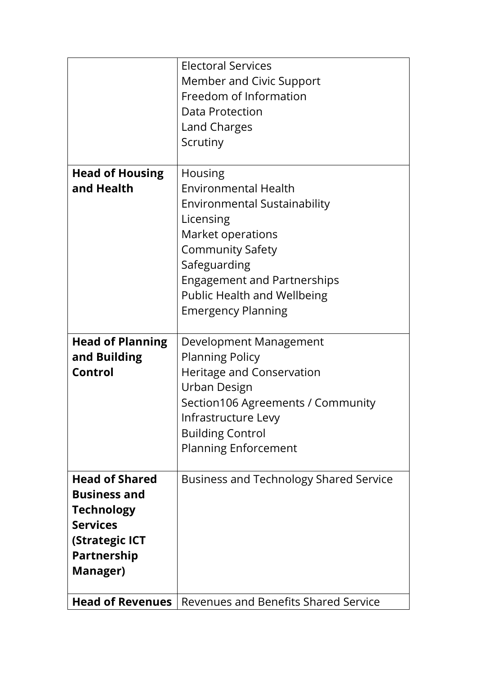|                                                                                                                                          | <b>Electoral Services</b><br>Member and Civic Support<br>Freedom of Information<br><b>Data Protection</b><br>Land Charges                                                                                                                                                  |
|------------------------------------------------------------------------------------------------------------------------------------------|----------------------------------------------------------------------------------------------------------------------------------------------------------------------------------------------------------------------------------------------------------------------------|
|                                                                                                                                          | Scrutiny                                                                                                                                                                                                                                                                   |
| <b>Head of Housing</b><br>and Health                                                                                                     | <b>Housing</b><br><b>Environmental Health</b><br><b>Environmental Sustainability</b><br>Licensing<br>Market operations<br><b>Community Safety</b><br>Safeguarding<br><b>Engagement and Partnerships</b><br><b>Public Health and Wellbeing</b><br><b>Emergency Planning</b> |
| <b>Head of Planning</b><br>and Building<br>Control                                                                                       | Development Management<br><b>Planning Policy</b><br>Heritage and Conservation<br>Urban Design<br>Section106 Agreements / Community<br>Infrastructure Levy<br><b>Building Control</b><br><b>Planning Enforcement</b>                                                        |
| <b>Head of Shared</b><br><b>Business and</b><br><b>Technology</b><br><b>Services</b><br><b>(Strategic ICT</b><br>Partnership<br>Manager) | <b>Business and Technology Shared Service</b>                                                                                                                                                                                                                              |
| <b>Head of Revenues</b>                                                                                                                  | Revenues and Benefits Shared Service                                                                                                                                                                                                                                       |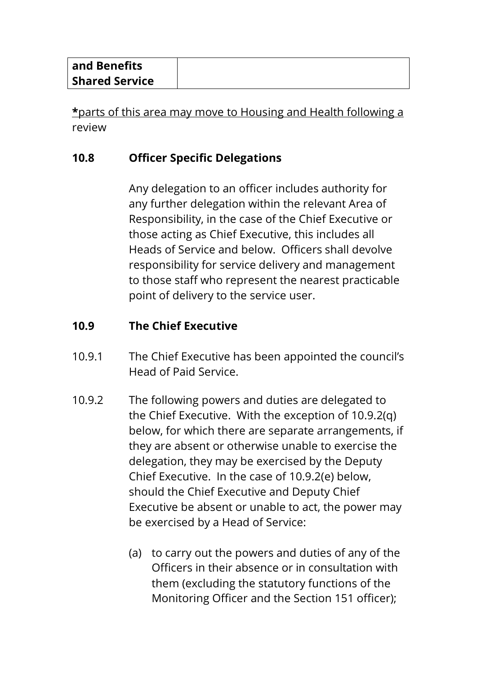| and Benefits          |  |
|-----------------------|--|
| <b>Shared Service</b> |  |

**\***parts of this area may move to Housing and Health following a review

# **10.8 Officer Specific Delegations**

Any delegation to an officer includes authority for any further delegation within the relevant Area of Responsibility, in the case of the Chief Executive or those acting as Chief Executive, this includes all Heads of Service and below. Officers shall devolve responsibility for service delivery and management to those staff who represent the nearest practicable point of delivery to the service user.

# **10.9 The Chief Executive**

- 10.9.1 The Chief Executive has been appointed the council's Head of Paid Service.
- 10.9.2 The following powers and duties are delegated to the Chief Executive. With the exception of 10.9.2(q) below, for which there are separate arrangements, if they are absent or otherwise unable to exercise the delegation, they may be exercised by the Deputy Chief Executive. In the case of 10.9.2(e) below, should the Chief Executive and Deputy Chief Executive be absent or unable to act, the power may be exercised by a Head of Service:
	- (a) to carry out the powers and duties of any of the Officers in their absence or in consultation with them (excluding the statutory functions of the Monitoring Officer and the Section 151 officer);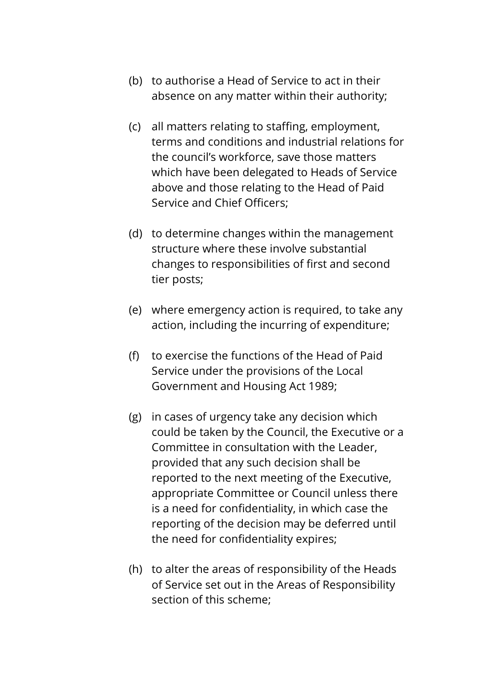- (b) to authorise a Head of Service to act in their absence on any matter within their authority;
- (c) all matters relating to staffing, employment, terms and conditions and industrial relations for the council's workforce, save those matters which have been delegated to Heads of Service above and those relating to the Head of Paid Service and Chief Officers;
- (d) to determine changes within the management structure where these involve substantial changes to responsibilities of first and second tier posts;
- (e) where emergency action is required, to take any action, including the incurring of expenditure;
- (f) to exercise the functions of the Head of Paid Service under the provisions of the Local Government and Housing Act 1989;
- (g) in cases of urgency take any decision which could be taken by the Council, the Executive or a Committee in consultation with the Leader, provided that any such decision shall be reported to the next meeting of the Executive, appropriate Committee or Council unless there is a need for confidentiality, in which case the reporting of the decision may be deferred until the need for confidentiality expires;
- (h) to alter the areas of responsibility of the Heads of Service set out in the Areas of Responsibility section of this scheme;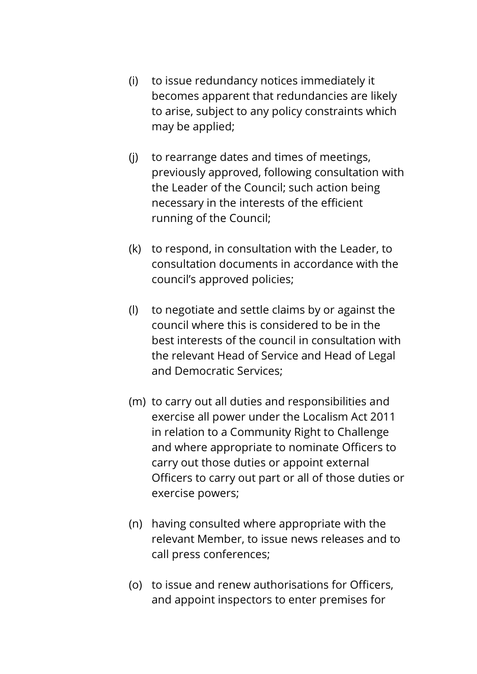- (i) to issue redundancy notices immediately it becomes apparent that redundancies are likely to arise, subject to any policy constraints which may be applied;
- (j) to rearrange dates and times of meetings, previously approved, following consultation with the Leader of the Council; such action being necessary in the interests of the efficient running of the Council;
- (k) to respond, in consultation with the Leader, to consultation documents in accordance with the council's approved policies;
- (l) to negotiate and settle claims by or against the council where this is considered to be in the best interests of the council in consultation with the relevant Head of Service and Head of Legal and Democratic Services;
- (m) to carry out all duties and responsibilities and exercise all power under the Localism Act 2011 in relation to a Community Right to Challenge and where appropriate to nominate Officers to carry out those duties or appoint external Officers to carry out part or all of those duties or exercise powers;
- (n) having consulted where appropriate with the relevant Member, to issue news releases and to call press conferences;
- (o) to issue and renew authorisations for Officers, and appoint inspectors to enter premises for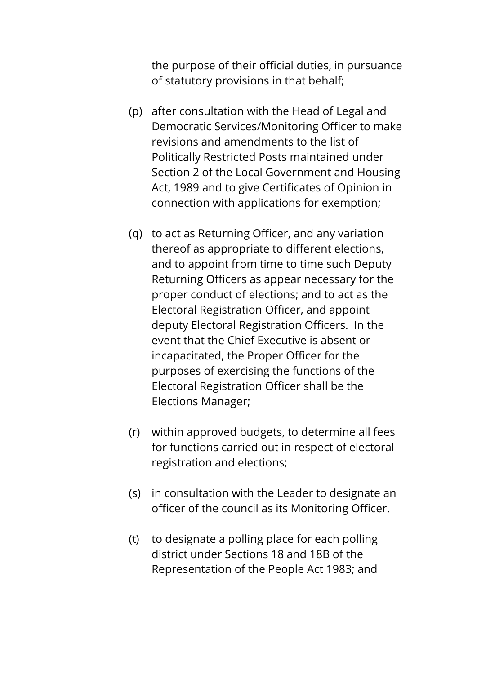the purpose of their official duties, in pursuance of statutory provisions in that behalf;

- (p) after consultation with the Head of Legal and Democratic Services/Monitoring Officer to make revisions and amendments to the list of Politically Restricted Posts maintained under Section 2 of the Local Government and Housing Act, 1989 and to give Certificates of Opinion in connection with applications for exemption;
- (q) to act as Returning Officer, and any variation thereof as appropriate to different elections, and to appoint from time to time such Deputy Returning Officers as appear necessary for the proper conduct of elections; and to act as the Electoral Registration Officer, and appoint deputy Electoral Registration Officers. In the event that the Chief Executive is absent or incapacitated, the Proper Officer for the purposes of exercising the functions of the Electoral Registration Officer shall be the Elections Manager;
- (r) within approved budgets, to determine all fees for functions carried out in respect of electoral registration and elections;
- (s) in consultation with the Leader to designate an officer of the council as its Monitoring Officer.
- (t) to designate a polling place for each polling district under Sections 18 and 18B of the Representation of the People Act 1983; and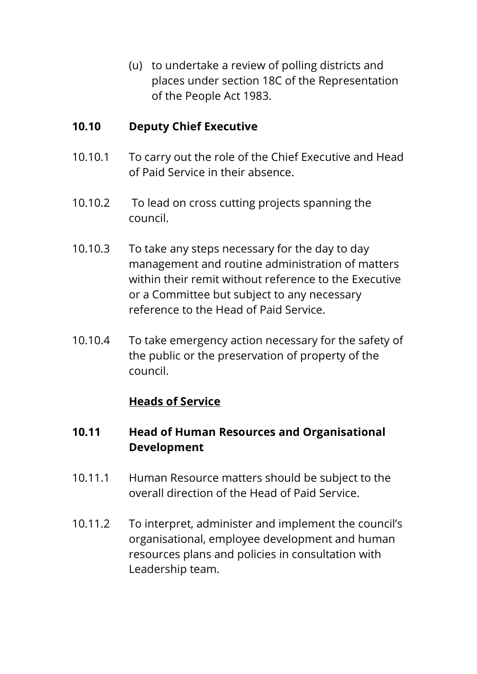(u) to undertake a review of polling districts and places under section 18C of the Representation of the People Act 1983.

## **10.10 Deputy Chief Executive**

- 10.10.1 To carry out the role of the Chief Executive and Head of Paid Service in their absence.
- 10.10.2 To lead on cross cutting projects spanning the council.
- 10.10.3 To take any steps necessary for the day to day management and routine administration of matters within their remit without reference to the Executive or a Committee but subject to any necessary reference to the Head of Paid Service.
- 10.10.4 To take emergency action necessary for the safety of the public or the preservation of property of the council.

# **Heads of Service**

# **10.11 Head of Human Resources and Organisational Development**

- 10.11.1 Human Resource matters should be subject to the overall direction of the Head of Paid Service.
- 10.11.2 To interpret, administer and implement the council's organisational, employee development and human resources plans and policies in consultation with Leadership team.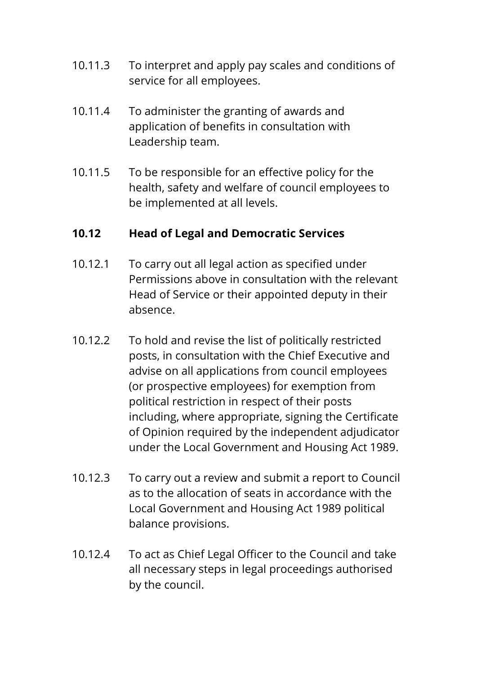- 10.11.3 To interpret and apply pay scales and conditions of service for all employees.
- 10.11.4 To administer the granting of awards and application of benefits in consultation with Leadership team.
- 10.11.5 To be responsible for an effective policy for the health, safety and welfare of council employees to be implemented at all levels.

## **10.12 Head of Legal and Democratic Services**

- 10.12.1 To carry out all legal action as specified under Permissions above in consultation with the relevant Head of Service or their appointed deputy in their absence.
- 10.12.2 To hold and revise the list of politically restricted posts, in consultation with the Chief Executive and advise on all applications from council employees (or prospective employees) for exemption from political restriction in respect of their posts including, where appropriate, signing the Certificate of Opinion required by the independent adjudicator under the Local Government and Housing Act 1989.
- 10.12.3 To carry out a review and submit a report to Council as to the allocation of seats in accordance with the Local Government and Housing Act 1989 political balance provisions.
- 10.12.4 To act as Chief Legal Officer to the Council and take all necessary steps in legal proceedings authorised by the council.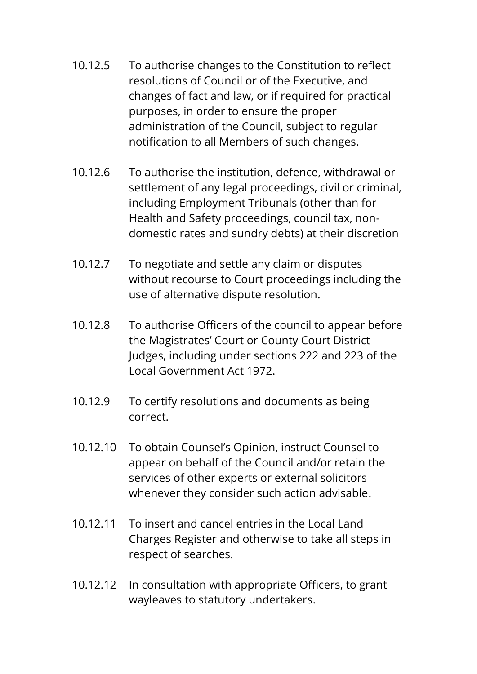- 10.12.5 To authorise changes to the Constitution to reflect resolutions of Council or of the Executive, and changes of fact and law, or if required for practical purposes, in order to ensure the proper administration of the Council, subject to regular notification to all Members of such changes.
- 10.12.6 To authorise the institution, defence, withdrawal or settlement of any legal proceedings, civil or criminal, including Employment Tribunals (other than for Health and Safety proceedings, council tax, nondomestic rates and sundry debts) at their discretion
- 10.12.7 To negotiate and settle any claim or disputes without recourse to Court proceedings including the use of alternative dispute resolution.
- 10.12.8 To authorise Officers of the council to appear before the Magistrates' Court or County Court District Judges, including under sections 222 and 223 of the Local Government Act 1972.
- 10.12.9 To certify resolutions and documents as being correct.
- 10.12.10 To obtain Counsel's Opinion, instruct Counsel to appear on behalf of the Council and/or retain the services of other experts or external solicitors whenever they consider such action advisable.
- 10.12.11 To insert and cancel entries in the Local Land Charges Register and otherwise to take all steps in respect of searches.
- 10.12.12 In consultation with appropriate Officers, to grant wayleaves to statutory undertakers.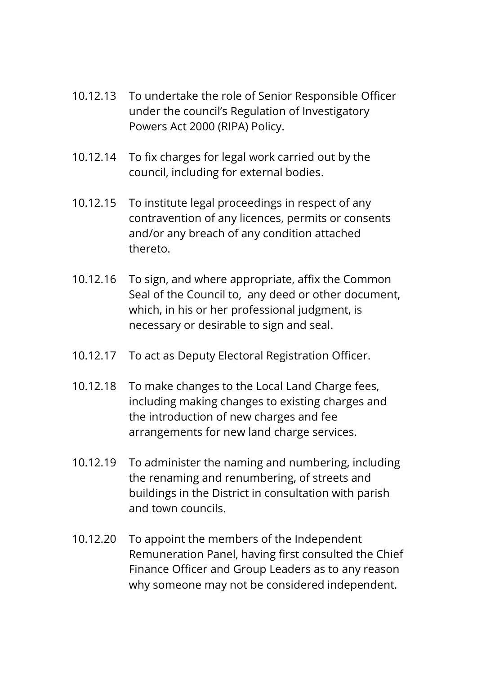- 10.12.13 To undertake the role of Senior Responsible Officer under the council's Regulation of Investigatory Powers Act 2000 (RIPA) Policy.
- 10.12.14 To fix charges for legal work carried out by the council, including for external bodies.
- 10.12.15 To institute legal proceedings in respect of any contravention of any licences, permits or consents and/or any breach of any condition attached thereto.
- 10.12.16 To sign, and where appropriate, affix the Common Seal of the Council to, any deed or other document, which, in his or her professional judgment, is necessary or desirable to sign and seal.
- 10.12.17 To act as Deputy Electoral Registration Officer.
- 10.12.18 To make changes to the Local Land Charge fees, including making changes to existing charges and the introduction of new charges and fee arrangements for new land charge services.
- 10.12.19 To administer the naming and numbering, including the renaming and renumbering, of streets and buildings in the District in consultation with parish and town councils.
- 10.12.20 To appoint the members of the Independent Remuneration Panel, having first consulted the Chief Finance Officer and Group Leaders as to any reason why someone may not be considered independent.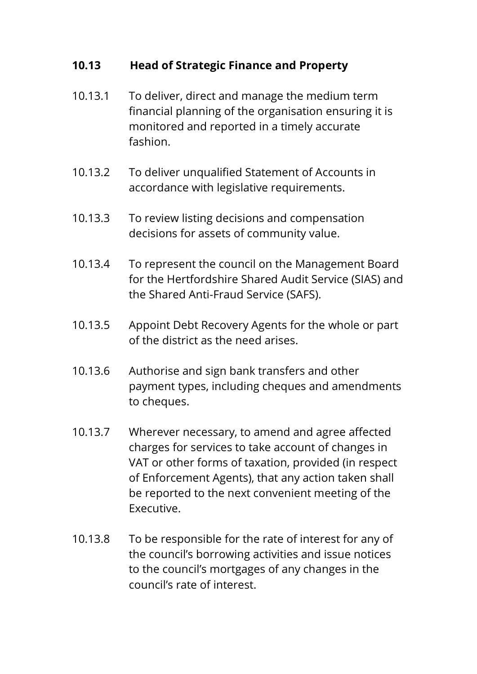## **10.13 Head of Strategic Finance and Property**

- 10.13.1 To deliver, direct and manage the medium term financial planning of the organisation ensuring it is monitored and reported in a timely accurate fashion.
- 10.13.2 To deliver unqualified Statement of Accounts in accordance with legislative requirements.
- 10.13.3 To review listing decisions and compensation decisions for assets of community value.
- 10.13.4 To represent the council on the Management Board for the Hertfordshire Shared Audit Service (SIAS) and the Shared Anti-Fraud Service (SAFS).
- 10.13.5 Appoint Debt Recovery Agents for the whole or part of the district as the need arises.
- 10.13.6 Authorise and sign bank transfers and other payment types, including cheques and amendments to cheques.
- 10.13.7 Wherever necessary, to amend and agree affected charges for services to take account of changes in VAT or other forms of taxation, provided (in respect of Enforcement Agents), that any action taken shall be reported to the next convenient meeting of the Executive.
- 10.13.8 To be responsible for the rate of interest for any of the council's borrowing activities and issue notices to the council's mortgages of any changes in the council's rate of interest.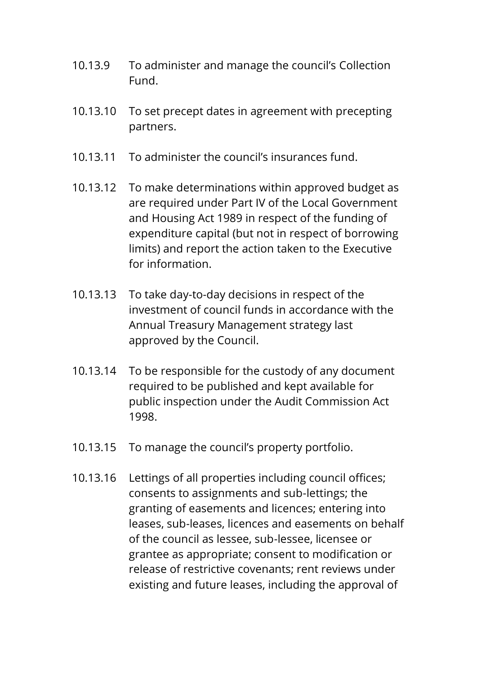- 10.13.9 To administer and manage the council's Collection Fund.
- 10.13.10 To set precept dates in agreement with precepting partners.
- 10.13.11 To administer the council's insurances fund.
- 10.13.12 To make determinations within approved budget as are required under Part IV of the Local Government and Housing Act 1989 in respect of the funding of expenditure capital (but not in respect of borrowing limits) and report the action taken to the Executive for information.
- 10.13.13 To take day-to-day decisions in respect of the investment of council funds in accordance with the Annual Treasury Management strategy last approved by the Council.
- 10.13.14 To be responsible for the custody of any document required to be published and kept available for public inspection under the Audit Commission Act 1998.
- 10.13.15 To manage the council's property portfolio.
- 10.13.16 Lettings of all properties including council offices; consents to assignments and sub-lettings; the granting of easements and licences; entering into leases, sub-leases, licences and easements on behalf of the council as lessee, sub-lessee, licensee or grantee as appropriate; consent to modification or release of restrictive covenants; rent reviews under existing and future leases, including the approval of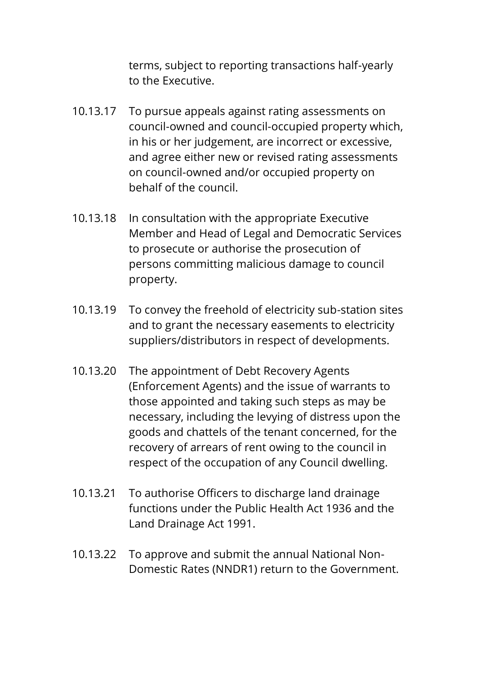terms, subject to reporting transactions half-yearly to the Executive.

- 10.13.17 To pursue appeals against rating assessments on council-owned and council-occupied property which, in his or her judgement, are incorrect or excessive, and agree either new or revised rating assessments on council-owned and/or occupied property on behalf of the council.
- 10.13.18 In consultation with the appropriate Executive Member and Head of Legal and Democratic Services to prosecute or authorise the prosecution of persons committing malicious damage to council property.
- 10.13.19 To convey the freehold of electricity sub-station sites and to grant the necessary easements to electricity suppliers/distributors in respect of developments.
- 10.13.20 The appointment of Debt Recovery Agents (Enforcement Agents) and the issue of warrants to those appointed and taking such steps as may be necessary, including the levying of distress upon the goods and chattels of the tenant concerned, for the recovery of arrears of rent owing to the council in respect of the occupation of any Council dwelling.
- 10.13.21 To authorise Officers to discharge land drainage functions under the Public Health Act 1936 and the Land Drainage Act 1991.
- 10.13.22 To approve and submit the annual National Non-Domestic Rates (NNDR1) return to the Government.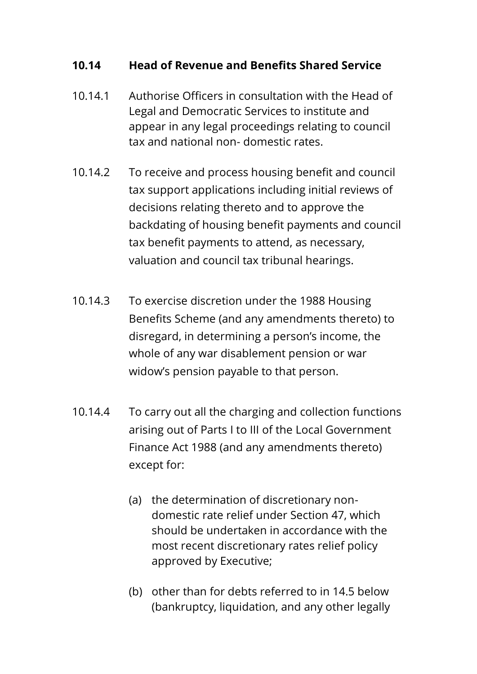#### **10.14 Head of Revenue and Benefits Shared Service**

- 10.14.1 Authorise Officers in consultation with the Head of Legal and Democratic Services to institute and appear in any legal proceedings relating to council tax and national non- domestic rates.
- 10.14.2 To receive and process housing benefit and council tax support applications including initial reviews of decisions relating thereto and to approve the backdating of housing benefit payments and council tax benefit payments to attend, as necessary, valuation and council tax tribunal hearings.
- 10.14.3 To exercise discretion under the 1988 Housing Benefits Scheme (and any amendments thereto) to disregard, in determining a person's income, the whole of any war disablement pension or war widow's pension payable to that person.
- 10.14.4 To carry out all the charging and collection functions arising out of Parts I to III of the Local Government Finance Act 1988 (and any amendments thereto) except for:
	- (a) the determination of discretionary nondomestic rate relief under Section 47, which should be undertaken in accordance with the most recent discretionary rates relief policy approved by Executive;
	- (b) other than for debts referred to in 14.5 below (bankruptcy, liquidation, and any other legally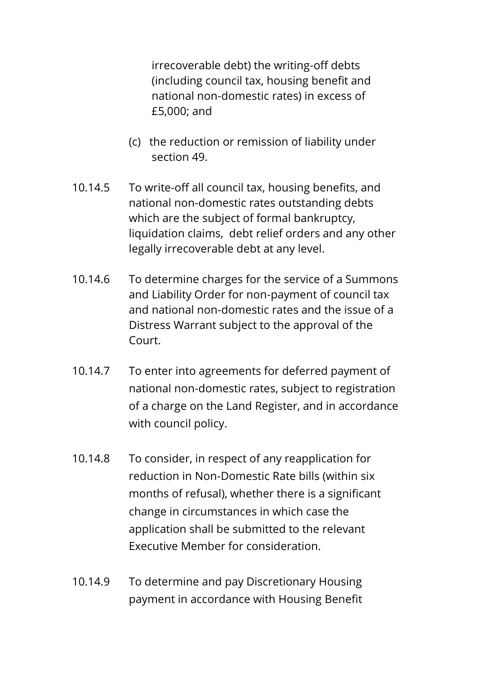irrecoverable debt) the writing-off debts (including council tax, housing benefit and national non-domestic rates) in excess of £5,000; and

- (c) the reduction or remission of liability under section 49.
- 10.14.5 To write-off all council tax, housing benefits, and national non-domestic rates outstanding debts which are the subject of formal bankruptcy, liquidation claims, debt relief orders and any other legally irrecoverable debt at any level.
- 10.14.6 To determine charges for the service of a Summons and Liability Order for non-payment of council tax and national non-domestic rates and the issue of a Distress Warrant subject to the approval of the Court.
- 10.14.7 To enter into agreements for deferred payment of national non-domestic rates, subject to registration of a charge on the Land Register, and in accordance with council policy.
- 10.14.8 To consider, in respect of any reapplication for reduction in Non-Domestic Rate bills (within six months of refusal), whether there is a significant change in circumstances in which case the application shall be submitted to the relevant Executive Member for consideration.
- 10.14.9 To determine and pay Discretionary Housing payment in accordance with Housing Benefit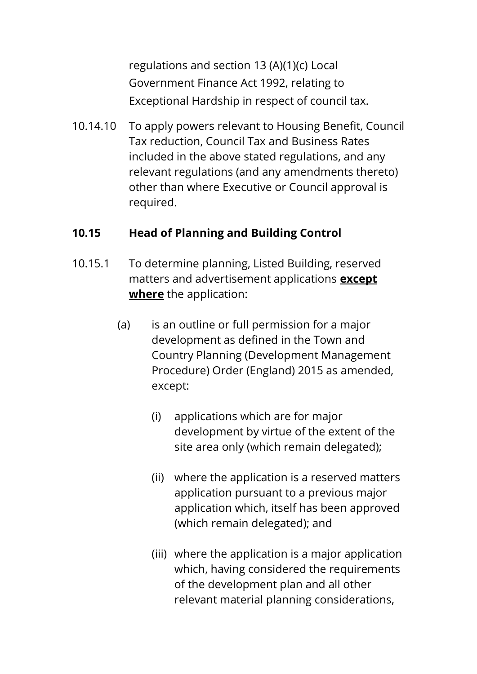regulations and section 13 (A)(1)(c) Local Government Finance Act 1992, relating to Exceptional Hardship in respect of council tax.

10.14.10 To apply powers relevant to Housing Benefit, Council Tax reduction, Council Tax and Business Rates included in the above stated regulations, and any relevant regulations (and any amendments thereto) other than where Executive or Council approval is required.

# **10.15 Head of Planning and Building Control**

- 10.15.1 To determine planning, Listed Building, reserved matters and advertisement applications **except where** the application:
	- (a) is an outline or full permission for a major development as defined in the Town and Country Planning (Development Management Procedure) Order (England) 2015 as amended, except:
		- (i) applications which are for major development by virtue of the extent of the site area only (which remain delegated);
		- (ii) where the application is a reserved matters application pursuant to a previous major application which, itself has been approved (which remain delegated); and
		- (iii) where the application is a major application which, having considered the requirements of the development plan and all other relevant material planning considerations,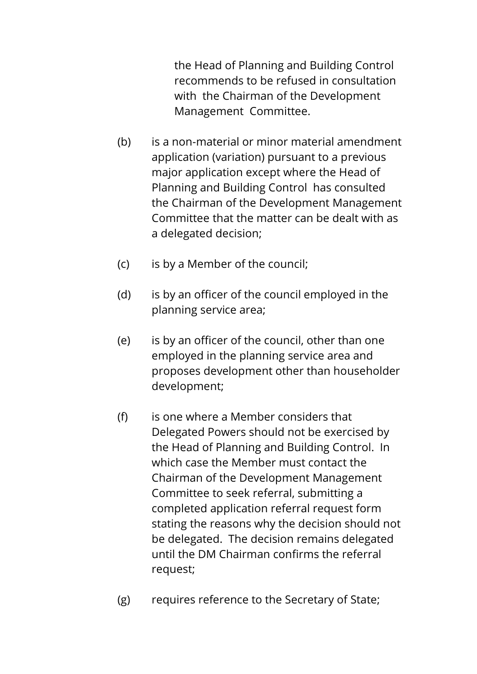the Head of Planning and Building Control recommends to be refused in consultation with the Chairman of the Development Management Committee.

- (b) is a non-material or minor material amendment application (variation) pursuant to a previous major application except where the Head of Planning and Building Control has consulted the Chairman of the Development Management Committee that the matter can be dealt with as a delegated decision;
- (c) is by a Member of the council;
- (d) is by an officer of the council employed in the planning service area;
- (e) is by an officer of the council, other than one employed in the planning service area and proposes development other than householder development;
- (f) is one where a Member considers that Delegated Powers should not be exercised by the Head of Planning and Building Control. In which case the Member must contact the Chairman of the Development Management Committee to seek referral, submitting a completed application referral request form stating the reasons why the decision should not be delegated. The decision remains delegated until the DM Chairman confirms the referral request;
- (g) requires reference to the Secretary of State;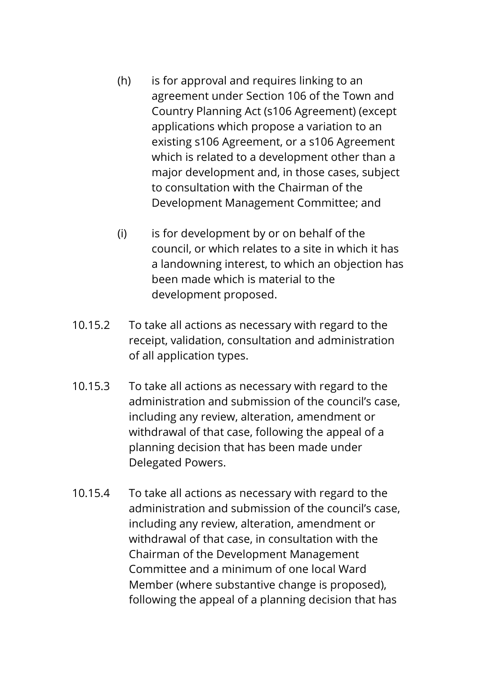- (h) is for approval and requires linking to an agreement under Section 106 of the Town and Country Planning Act (s106 Agreement) (except applications which propose a variation to an existing s106 Agreement, or a s106 Agreement which is related to a development other than a major development and, in those cases, subject to consultation with the Chairman of the Development Management Committee; and
- (i) is for development by or on behalf of the council, or which relates to a site in which it has a landowning interest, to which an objection has been made which is material to the development proposed.
- 10.15.2 To take all actions as necessary with regard to the receipt, validation, consultation and administration of all application types.
- 10.15.3 To take all actions as necessary with regard to the administration and submission of the council's case, including any review, alteration, amendment or withdrawal of that case, following the appeal of a planning decision that has been made under Delegated Powers.
- 10.15.4 To take all actions as necessary with regard to the administration and submission of the council's case, including any review, alteration, amendment or withdrawal of that case, in consultation with the Chairman of the Development Management Committee and a minimum of one local Ward Member (where substantive change is proposed), following the appeal of a planning decision that has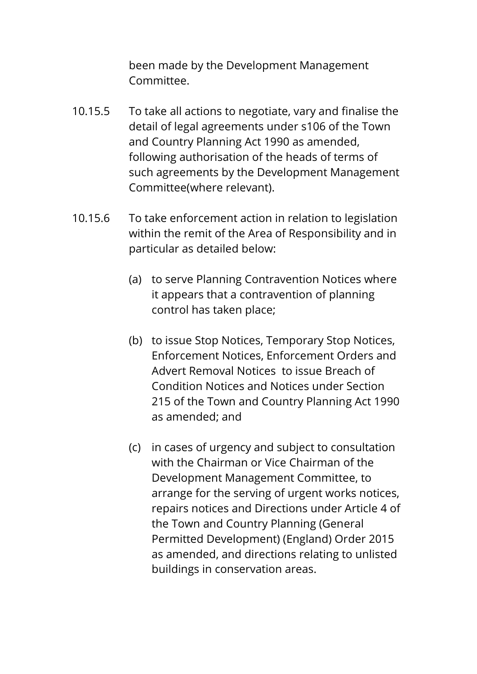been made by the Development Management Committee.

- 10.15.5 To take all actions to negotiate, vary and finalise the detail of legal agreements under s106 of the Town and Country Planning Act 1990 as amended, following authorisation of the heads of terms of such agreements by the Development Management Committee(where relevant).
- 10.15.6 To take enforcement action in relation to legislation within the remit of the Area of Responsibility and in particular as detailed below:
	- (a) to serve Planning Contravention Notices where it appears that a contravention of planning control has taken place;
	- (b) to issue Stop Notices, Temporary Stop Notices, Enforcement Notices, Enforcement Orders and Advert Removal Notices to issue Breach of Condition Notices and Notices under Section 215 of the Town and Country Planning Act 1990 as amended; and
	- (c) in cases of urgency and subject to consultation with the Chairman or Vice Chairman of the Development Management Committee, to arrange for the serving of urgent works notices, repairs notices and Directions under Article 4 of the Town and Country Planning (General Permitted Development) (England) Order 2015 as amended, and directions relating to unlisted buildings in conservation areas.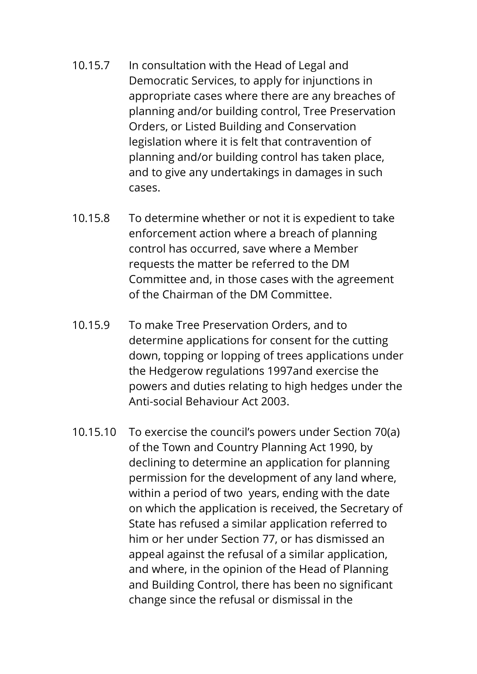- 10.15.7 In consultation with the Head of Legal and Democratic Services, to apply for injunctions in appropriate cases where there are any breaches of planning and/or building control, Tree Preservation Orders, or Listed Building and Conservation legislation where it is felt that contravention of planning and/or building control has taken place, and to give any undertakings in damages in such cases.
- 10.15.8 To determine whether or not it is expedient to take enforcement action where a breach of planning control has occurred, save where a Member requests the matter be referred to the DM Committee and, in those cases with the agreement of the Chairman of the DM Committee.
- 10.15.9 To make Tree Preservation Orders, and to determine applications for consent for the cutting down, topping or lopping of trees applications under the Hedgerow regulations 1997and exercise the powers and duties relating to high hedges under the Anti-social Behaviour Act 2003.
- 10.15.10 To exercise the council's powers under Section 70(a) of the Town and Country Planning Act 1990, by declining to determine an application for planning permission for the development of any land where, within a period of two years, ending with the date on which the application is received, the Secretary of State has refused a similar application referred to him or her under Section 77, or has dismissed an appeal against the refusal of a similar application, and where, in the opinion of the Head of Planning and Building Control, there has been no significant change since the refusal or dismissal in the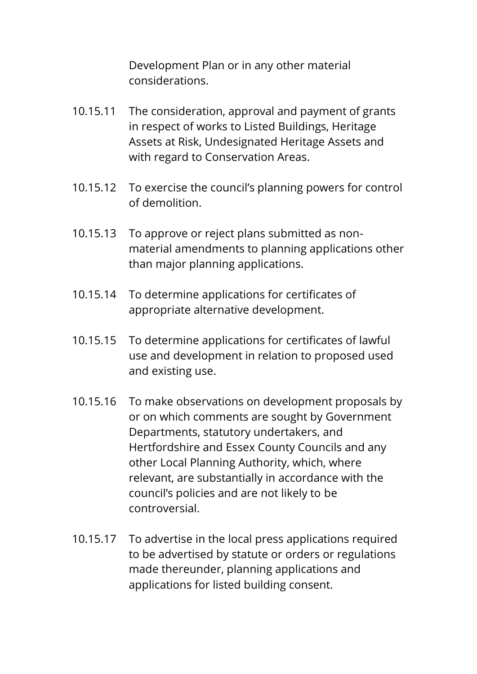Development Plan or in any other material considerations.

- 10.15.11 The consideration, approval and payment of grants in respect of works to Listed Buildings, Heritage Assets at Risk, Undesignated Heritage Assets and with regard to Conservation Areas.
- 10.15.12 To exercise the council's planning powers for control of demolition.
- 10.15.13 To approve or reject plans submitted as nonmaterial amendments to planning applications other than major planning applications.
- 10.15.14 To determine applications for certificates of appropriate alternative development.
- 10.15.15 To determine applications for certificates of lawful use and development in relation to proposed used and existing use.
- 10.15.16 To make observations on development proposals by or on which comments are sought by Government Departments, statutory undertakers, and Hertfordshire and Essex County Councils and any other Local Planning Authority, which, where relevant, are substantially in accordance with the council's policies and are not likely to be controversial.
- 10.15.17 To advertise in the local press applications required to be advertised by statute or orders or regulations made thereunder, planning applications and applications for listed building consent.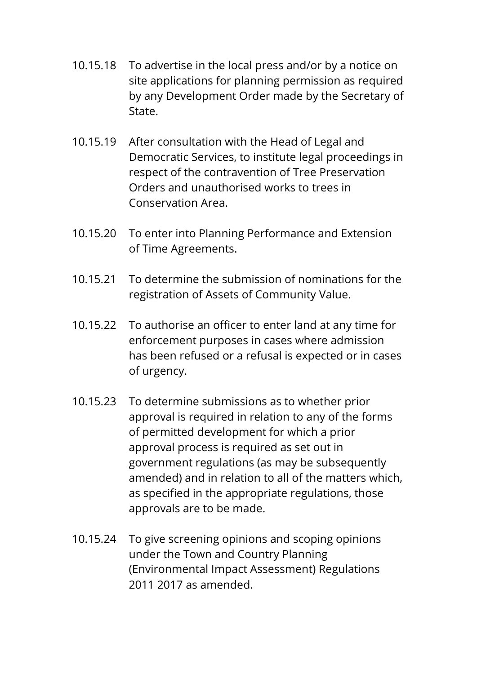- 10.15.18 To advertise in the local press and/or by a notice on site applications for planning permission as required by any Development Order made by the Secretary of State.
- 10.15.19 After consultation with the Head of Legal and Democratic Services, to institute legal proceedings in respect of the contravention of Tree Preservation Orders and unauthorised works to trees in Conservation Area.
- 10.15.20 To enter into Planning Performance and Extension of Time Agreements.
- 10.15.21 To determine the submission of nominations for the registration of Assets of Community Value.
- 10.15.22 To authorise an officer to enter land at any time for enforcement purposes in cases where admission has been refused or a refusal is expected or in cases of urgency.
- 10.15.23 To determine submissions as to whether prior approval is required in relation to any of the forms of permitted development for which a prior approval process is required as set out in government regulations (as may be subsequently amended) and in relation to all of the matters which, as specified in the appropriate regulations, those approvals are to be made.
- 10.15.24 To give screening opinions and scoping opinions under the Town and Country Planning (Environmental Impact Assessment) Regulations 2011 2017 as amended.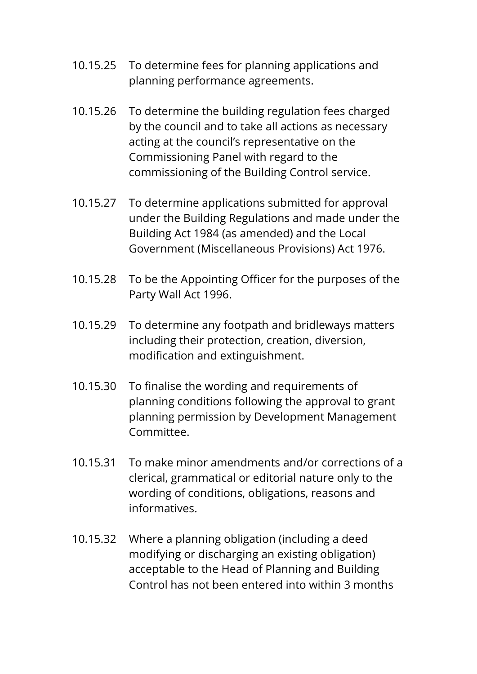- 10.15.25 To determine fees for planning applications and planning performance agreements.
- 10.15.26 To determine the building regulation fees charged by the council and to take all actions as necessary acting at the council's representative on the Commissioning Panel with regard to the commissioning of the Building Control service.
- 10.15.27 To determine applications submitted for approval under the Building Regulations and made under the Building Act 1984 (as amended) and the Local Government (Miscellaneous Provisions) Act 1976.
- 10.15.28 To be the Appointing Officer for the purposes of the Party Wall Act 1996.
- 10.15.29 To determine any footpath and bridleways matters including their protection, creation, diversion, modification and extinguishment.
- 10.15.30 To finalise the wording and requirements of planning conditions following the approval to grant planning permission by Development Management Committee.
- 10.15.31 To make minor amendments and/or corrections of a clerical, grammatical or editorial nature only to the wording of conditions, obligations, reasons and informatives.
- 10.15.32 Where a planning obligation (including a deed modifying or discharging an existing obligation) acceptable to the Head of Planning and Building Control has not been entered into within 3 months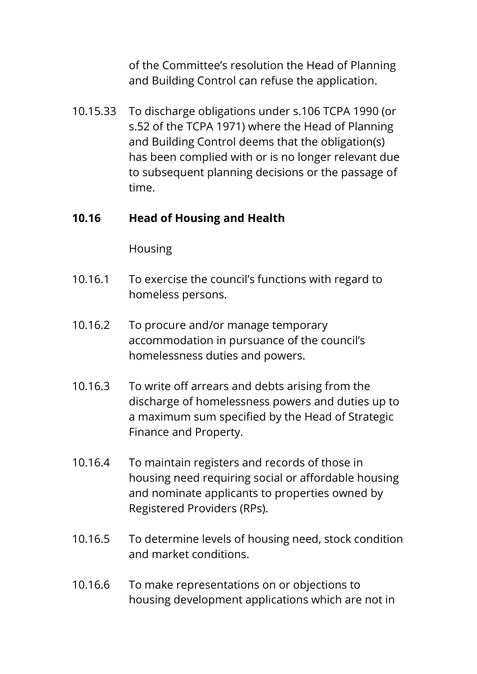of the Committee's resolution the Head of Planning and Building Control can refuse the application.

10.15.33 To discharge obligations under s.106 TCPA 1990 (or s.52 of the TCPA 1971) where the Head of Planning and Building Control deems that the obligation(s) has been complied with or is no longer relevant due to subsequent planning decisions or the passage of time.

#### **10.16 Head of Housing and Health**

Housing

- 10.16.1 To exercise the council's functions with regard to homeless persons.
- 10.16.2 To procure and/or manage temporary accommodation in pursuance of the council's homelessness duties and powers.
- 10.16.3 To write off arrears and debts arising from the discharge of homelessness powers and duties up to a maximum sum specified by the Head of Strategic Finance and Property.
- 10.16.4 To maintain registers and records of those in housing need requiring social or affordable housing and nominate applicants to properties owned by Registered Providers (RPs).
- 10.16.5 To determine levels of housing need, stock condition and market conditions.
- 10.16.6 To make representations on or objections to housing development applications which are not in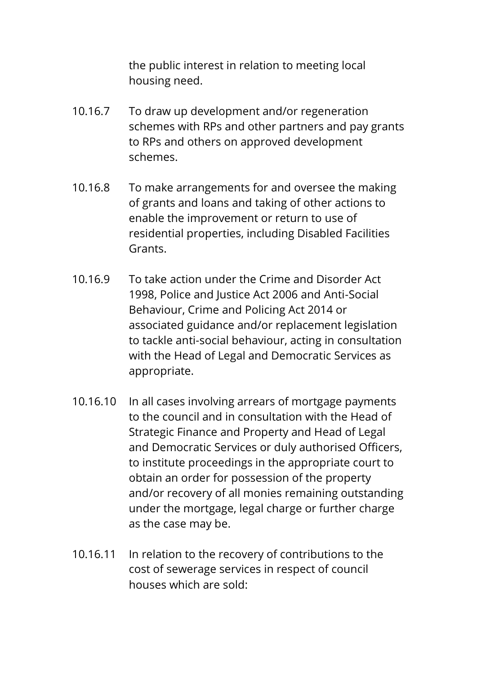the public interest in relation to meeting local housing need.

- 10.16.7 To draw up development and/or regeneration schemes with RPs and other partners and pay grants to RPs and others on approved development schemes.
- 10.16.8 To make arrangements for and oversee the making of grants and loans and taking of other actions to enable the improvement or return to use of residential properties, including Disabled Facilities Grants.
- 10.16.9 To take action under the Crime and Disorder Act 1998, Police and Justice Act 2006 and Anti-Social Behaviour, Crime and Policing Act 2014 or associated guidance and/or replacement legislation to tackle anti-social behaviour, acting in consultation with the Head of Legal and Democratic Services as appropriate.
- 10.16.10 In all cases involving arrears of mortgage payments to the council and in consultation with the Head of Strategic Finance and Property and Head of Legal and Democratic Services or duly authorised Officers, to institute proceedings in the appropriate court to obtain an order for possession of the property and/or recovery of all monies remaining outstanding under the mortgage, legal charge or further charge as the case may be.
- 10.16.11 In relation to the recovery of contributions to the cost of sewerage services in respect of council houses which are sold: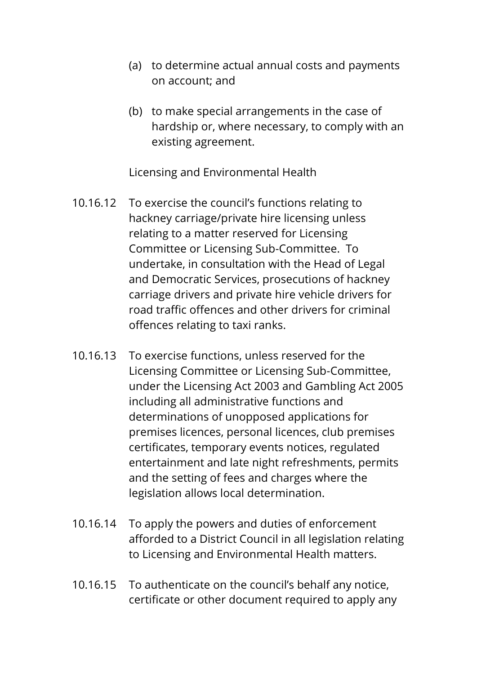- (a) to determine actual annual costs and payments on account; and
- (b) to make special arrangements in the case of hardship or, where necessary, to comply with an existing agreement.

Licensing and Environmental Health

- 10.16.12 To exercise the council's functions relating to hackney carriage/private hire licensing unless relating to a matter reserved for Licensing Committee or Licensing Sub-Committee. To undertake, in consultation with the Head of Legal and Democratic Services, prosecutions of hackney carriage drivers and private hire vehicle drivers for road traffic offences and other drivers for criminal offences relating to taxi ranks.
- 10.16.13 To exercise functions, unless reserved for the Licensing Committee or Licensing Sub-Committee, under the Licensing Act 2003 and Gambling Act 2005 including all administrative functions and determinations of unopposed applications for premises licences, personal licences, club premises certificates, temporary events notices, regulated entertainment and late night refreshments, permits and the setting of fees and charges where the legislation allows local determination.
- 10.16.14 To apply the powers and duties of enforcement afforded to a District Council in all legislation relating to Licensing and Environmental Health matters.
- 10.16.15 To authenticate on the council's behalf any notice, certificate or other document required to apply any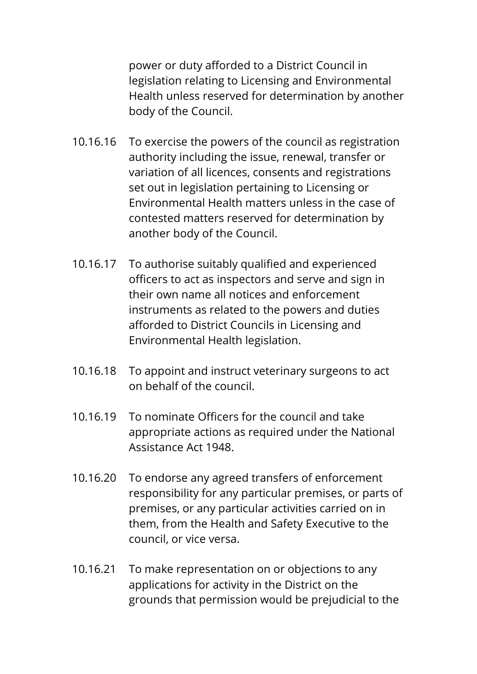power or duty afforded to a District Council in legislation relating to Licensing and Environmental Health unless reserved for determination by another body of the Council.

- 10.16.16 To exercise the powers of the council as registration authority including the issue, renewal, transfer or variation of all licences, consents and registrations set out in legislation pertaining to Licensing or Environmental Health matters unless in the case of contested matters reserved for determination by another body of the Council.
- 10.16.17 To authorise suitably qualified and experienced officers to act as inspectors and serve and sign in their own name all notices and enforcement instruments as related to the powers and duties afforded to District Councils in Licensing and Environmental Health legislation.
- 10.16.18 To appoint and instruct veterinary surgeons to act on behalf of the council.
- 10.16.19 To nominate Officers for the council and take appropriate actions as required under the National Assistance Act 1948.
- 10.16.20 To endorse any agreed transfers of enforcement responsibility for any particular premises, or parts of premises, or any particular activities carried on in them, from the Health and Safety Executive to the council, or vice versa.
- 10.16.21 To make representation on or objections to any applications for activity in the District on the grounds that permission would be prejudicial to the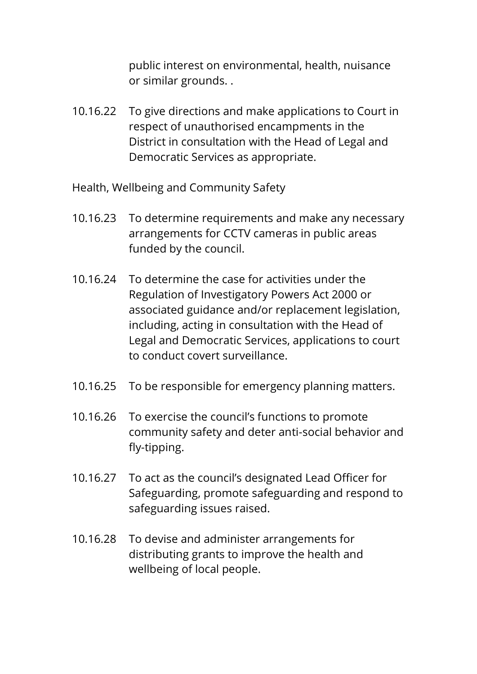public interest on environmental, health, nuisance or similar grounds. .

- 10.16.22 To give directions and make applications to Court in respect of unauthorised encampments in the District in consultation with the Head of Legal and Democratic Services as appropriate.
- Health, Wellbeing and Community Safety
- 10.16.23 To determine requirements and make any necessary arrangements for CCTV cameras in public areas funded by the council.
- 10.16.24 To determine the case for activities under the Regulation of Investigatory Powers Act 2000 or associated guidance and/or replacement legislation, including, acting in consultation with the Head of Legal and Democratic Services, applications to court to conduct covert surveillance.
- 10.16.25 To be responsible for emergency planning matters.
- 10.16.26 To exercise the council's functions to promote community safety and deter anti-social behavior and fly-tipping.
- 10.16.27 To act as the council's designated Lead Officer for Safeguarding, promote safeguarding and respond to safeguarding issues raised.
- 10.16.28 To devise and administer arrangements for distributing grants to improve the health and wellbeing of local people.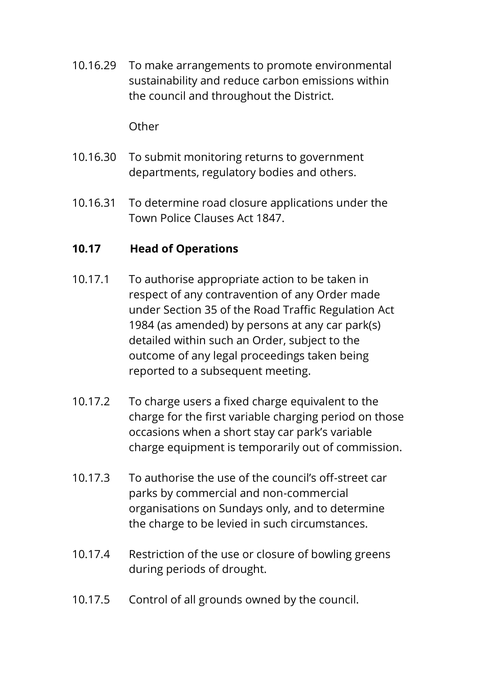10.16.29 To make arrangements to promote environmental sustainability and reduce carbon emissions within the council and throughout the District.

**Other** 

- 10.16.30 To submit monitoring returns to government departments, regulatory bodies and others.
- 10.16.31 To determine road closure applications under the Town Police Clauses Act 1847.

## **10.17 Head of Operations**

- 10.17.1 To authorise appropriate action to be taken in respect of any contravention of any Order made under Section 35 of the Road Traffic Regulation Act 1984 (as amended) by persons at any car park(s) detailed within such an Order, subject to the outcome of any legal proceedings taken being reported to a subsequent meeting.
- 10.17.2 To charge users a fixed charge equivalent to the charge for the first variable charging period on those occasions when a short stay car park's variable charge equipment is temporarily out of commission.
- 10.17.3 To authorise the use of the council's off-street car parks by commercial and non-commercial organisations on Sundays only, and to determine the charge to be levied in such circumstances.
- 10.17.4 Restriction of the use or closure of bowling greens during periods of drought.
- 10.17.5 Control of all grounds owned by the council.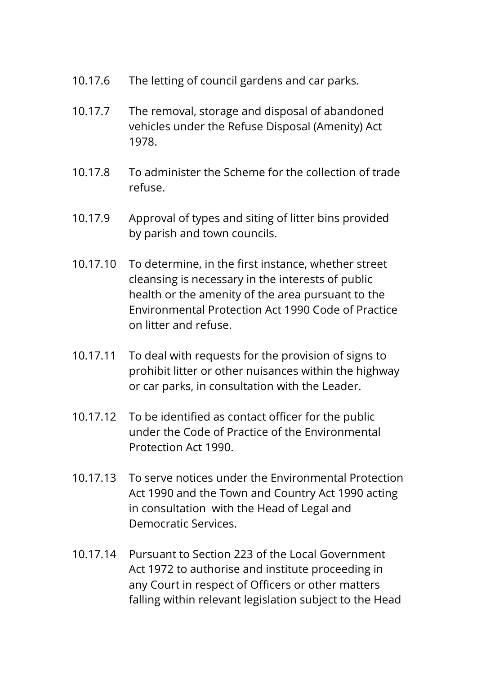- 10.17.6 The letting of council gardens and car parks.
- 10.17.7 The removal, storage and disposal of abandoned vehicles under the Refuse Disposal (Amenity) Act 1978.
- 10.17.8 To administer the Scheme for the collection of trade refuse.
- 10.17.9 Approval of types and siting of litter bins provided by parish and town councils.
- 10.17.10 To determine, in the first instance, whether street cleansing is necessary in the interests of public health or the amenity of the area pursuant to the Environmental Protection Act 1990 Code of Practice on litter and refuse.
- 10.17.11 To deal with requests for the provision of signs to prohibit litter or other nuisances within the highway or car parks, in consultation with the Leader.
- 10.17.12 To be identified as contact officer for the public under the Code of Practice of the Environmental Protection Act 1990.
- 10.17.13 To serve notices under the Environmental Protection Act 1990 and the Town and Country Act 1990 acting in consultation with the Head of Legal and Democratic Services.
- 10.17.14 Pursuant to Section 223 of the Local Government Act 1972 to authorise and institute proceeding in any Court in respect of Officers or other matters falling within relevant legislation subject to the Head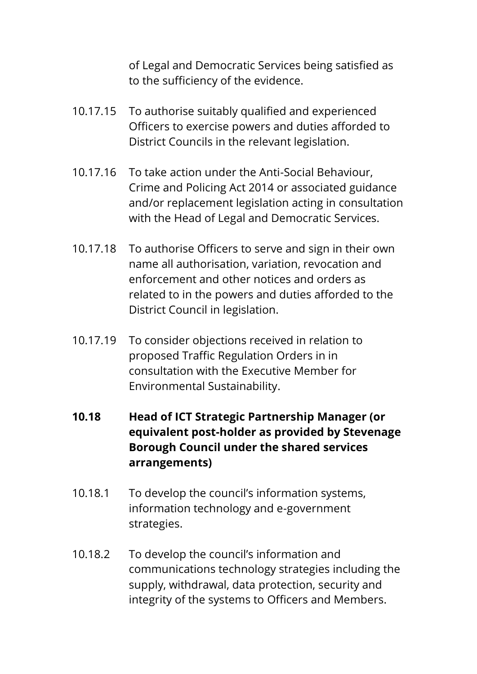of Legal and Democratic Services being satisfied as to the sufficiency of the evidence.

- 10.17.15 To authorise suitably qualified and experienced Officers to exercise powers and duties afforded to District Councils in the relevant legislation.
- 10.17.16 To take action under the Anti-Social Behaviour, Crime and Policing Act 2014 or associated guidance and/or replacement legislation acting in consultation with the Head of Legal and Democratic Services.
- 10.17.18 To authorise Officers to serve and sign in their own name all authorisation, variation, revocation and enforcement and other notices and orders as related to in the powers and duties afforded to the District Council in legislation.
- 10.17.19 To consider objections received in relation to proposed Traffic Regulation Orders in in consultation with the Executive Member for Environmental Sustainability.
- **10.18 Head of ICT Strategic Partnership Manager (or equivalent post-holder as provided by Stevenage Borough Council under the shared services arrangements)**
- 10.18.1 To develop the council's information systems, information technology and e-government strategies.
- 10.18.2 To develop the council's information and communications technology strategies including the supply, withdrawal, data protection, security and integrity of the systems to Officers and Members.